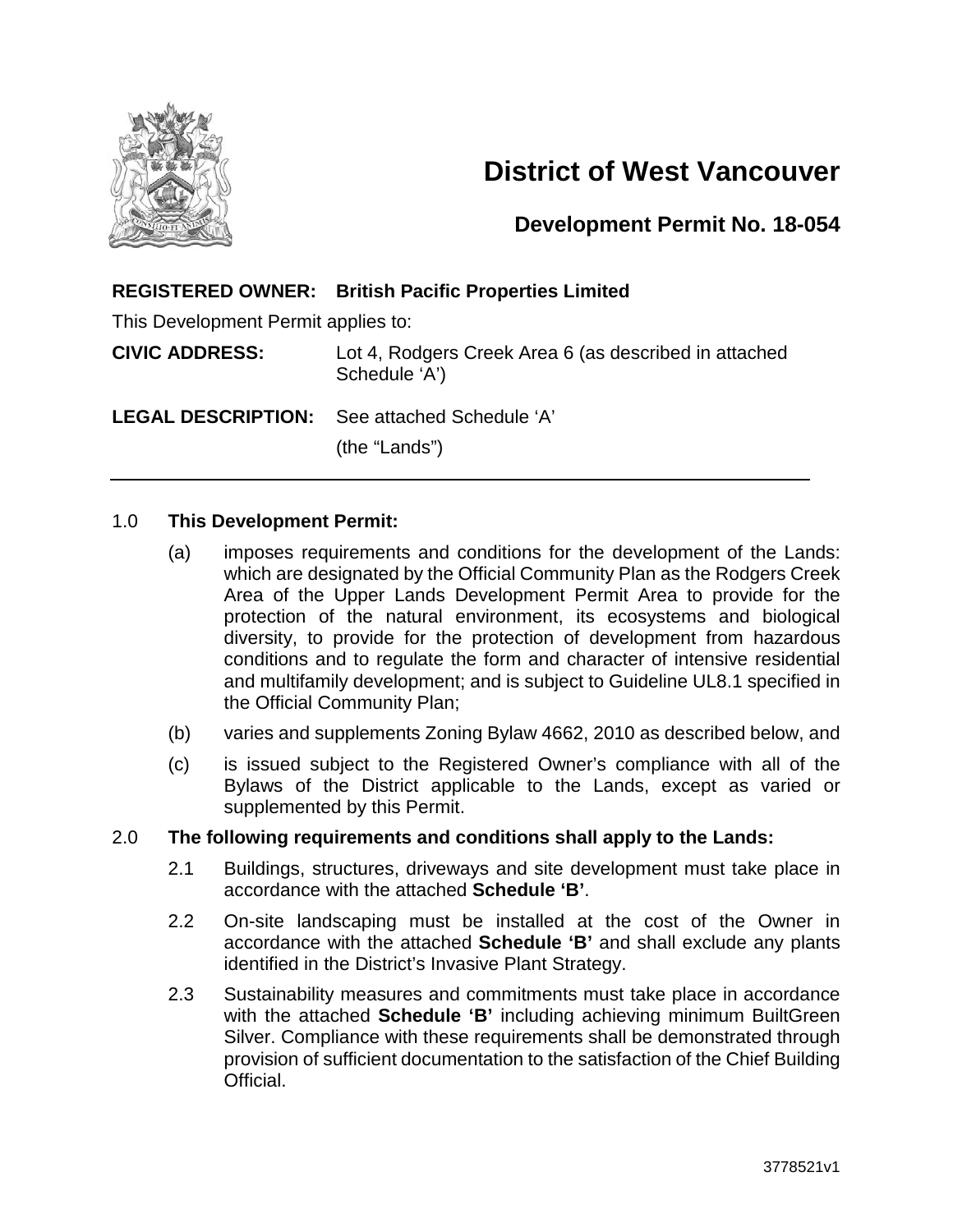

# **District of West Vancouver**

### **Development Permit No. 18-054**

#### **REGISTERED OWNER: British Pacific Properties Limited**

This Development Permit applies to:

**CIVIC ADDRESS:** Lot 4, Rodgers Creek Area 6 (as described in attached Schedule 'A')

**LEGAL DESCRIPTION:** See attached Schedule 'A'

(the "Lands")

#### 1.0 **This Development Permit:**

- (a) imposes requirements and conditions for the development of the Lands: which are designated by the Official Community Plan as the Rodgers Creek Area of the Upper Lands Development Permit Area to provide for the protection of the natural environment, its ecosystems and biological diversity, to provide for the protection of development from hazardous conditions and to regulate the form and character of intensive residential and multifamily development; and is subject to Guideline UL8.1 specified in the Official Community Plan;
- (b) varies and supplements Zoning Bylaw 4662, 2010 as described below, and
- (c) is issued subject to the Registered Owner's compliance with all of the Bylaws of the District applicable to the Lands, except as varied or supplemented by this Permit.

#### 2.0 **The following requirements and conditions shall apply to the Lands:**

- 2.1 Buildings, structures, driveways and site development must take place in accordance with the attached **Schedule 'B'**.
- 2.2 On-site landscaping must be installed at the cost of the Owner in accordance with the attached **Schedule 'B'** and shall exclude any plants identified in the District's Invasive Plant Strategy.
- 2.3 Sustainability measures and commitments must take place in accordance with the attached **Schedule 'B'** including achieving minimum BuiltGreen Silver. Compliance with these requirements shall be demonstrated through provision of sufficient documentation to the satisfaction of the Chief Building Official.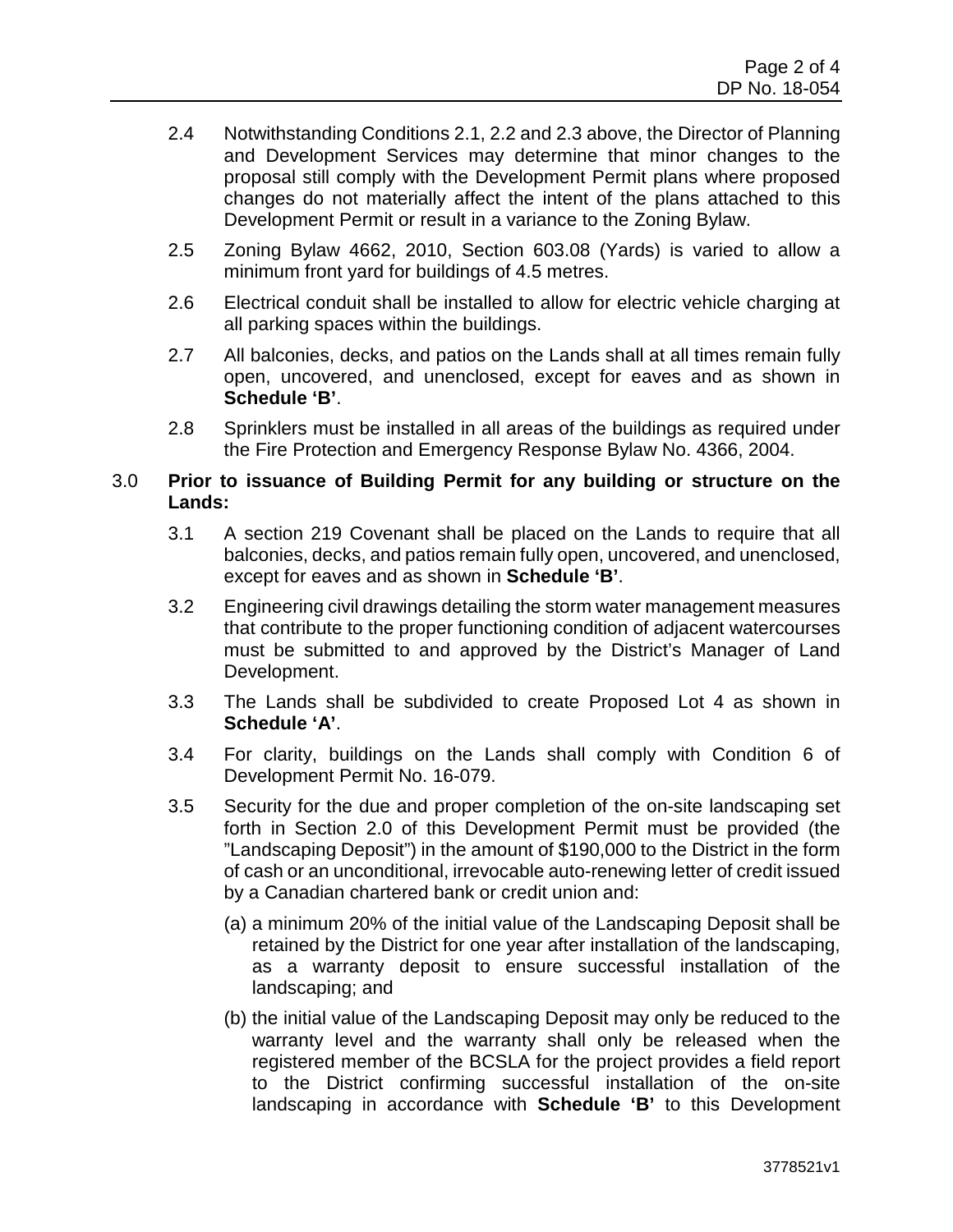- 2.4 Notwithstanding Conditions 2.1, 2.2 and 2.3 above, the Director of Planning and Development Services may determine that minor changes to the proposal still comply with the Development Permit plans where proposed changes do not materially affect the intent of the plans attached to this Development Permit or result in a variance to the Zoning Bylaw.
- 2.5 Zoning Bylaw 4662, 2010, Section 603.08 (Yards) is varied to allow a minimum front yard for buildings of 4.5 metres.
- 2.6 Electrical conduit shall be installed to allow for electric vehicle charging at all parking spaces within the buildings.
- 2.7 All balconies, decks, and patios on the Lands shall at all times remain fully open, uncovered, and unenclosed, except for eaves and as shown in **Schedule 'B'**.
- 2.8 Sprinklers must be installed in all areas of the buildings as required under the Fire Protection and Emergency Response Bylaw No. 4366, 2004.

#### 3.0 **Prior to issuance of Building Permit for any building or structure on the Lands:**

- 3.1 A section 219 Covenant shall be placed on the Lands to require that all balconies, decks, and patios remain fully open, uncovered, and unenclosed, except for eaves and as shown in **Schedule 'B'**.
- 3.2 Engineering civil drawings detailing the storm water management measures that contribute to the proper functioning condition of adjacent watercourses must be submitted to and approved by the District's Manager of Land Development.
- 3.3 The Lands shall be subdivided to create Proposed Lot 4 as shown in **Schedule 'A'**.
- 3.4 For clarity, buildings on the Lands shall comply with Condition 6 of Development Permit No. 16-079.
- 3.5 Security for the due and proper completion of the on-site landscaping set forth in Section 2.0 of this Development Permit must be provided (the "Landscaping Deposit") in the amount of \$190,000 to the District in the form of cash or an unconditional, irrevocable auto-renewing letter of credit issued by a Canadian chartered bank or credit union and:
	- (a) a minimum 20% of the initial value of the Landscaping Deposit shall be retained by the District for one year after installation of the landscaping, as a warranty deposit to ensure successful installation of the landscaping; and
	- (b) the initial value of the Landscaping Deposit may only be reduced to the warranty level and the warranty shall only be released when the registered member of the BCSLA for the project provides a field report to the District confirming successful installation of the on-site landscaping in accordance with **Schedule 'B'** to this Development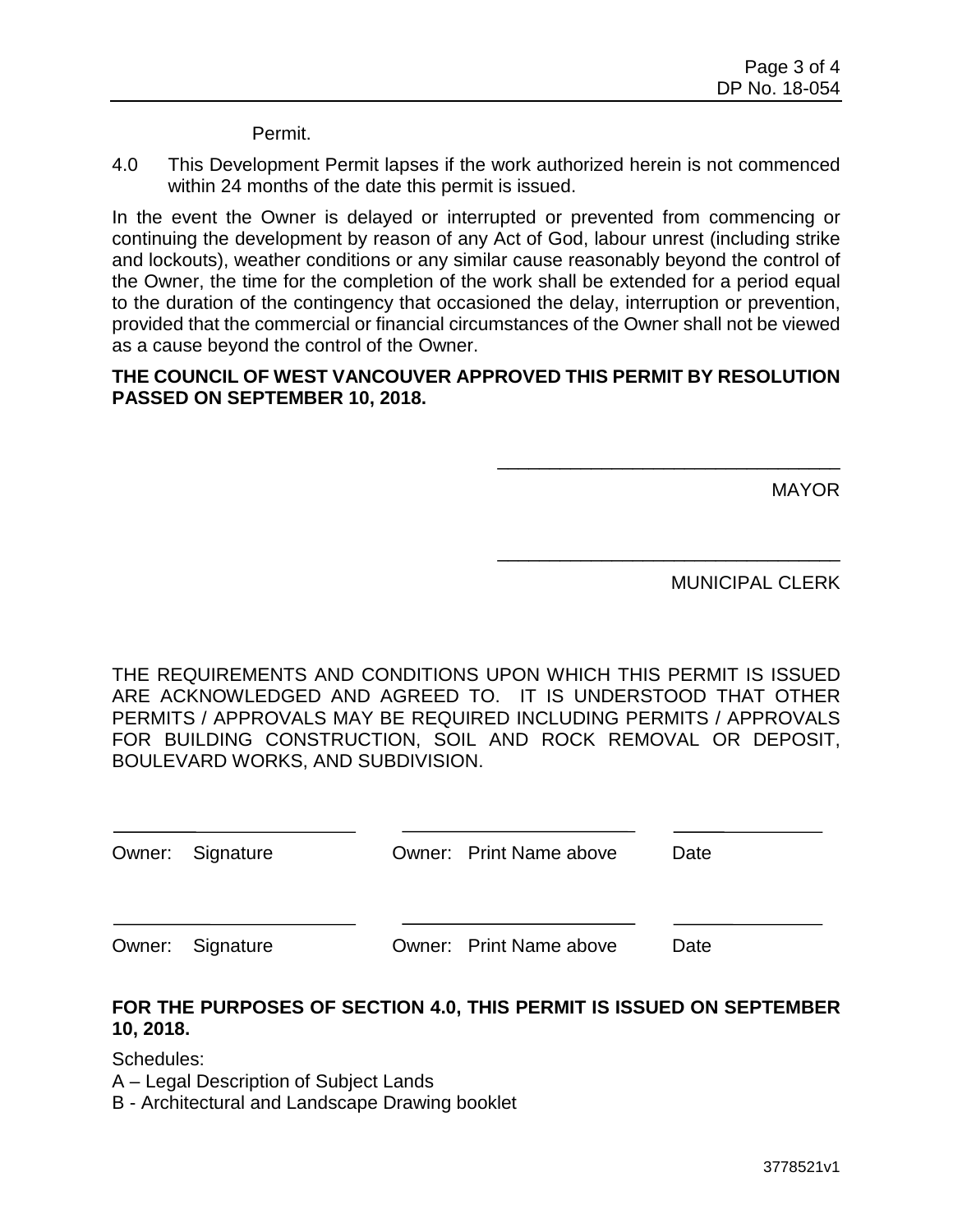Permit.

4.0 This Development Permit lapses if the work authorized herein is not commenced within 24 months of the date this permit is issued.

In the event the Owner is delayed or interrupted or prevented from commencing or continuing the development by reason of any Act of God, labour unrest (including strike and lockouts), weather conditions or any similar cause reasonably beyond the control of the Owner, the time for the completion of the work shall be extended for a period equal to the duration of the contingency that occasioned the delay, interruption or prevention, provided that the commercial or financial circumstances of the Owner shall not be viewed as a cause beyond the control of the Owner.

#### **THE COUNCIL OF WEST VANCOUVER APPROVED THIS PERMIT BY RESOLUTION PASSED ON SEPTEMBER 10, 2018.**

MAYOR

MUNICIPAL CLERK

\_\_\_\_\_\_\_\_\_\_\_\_\_\_\_\_\_\_\_\_\_\_\_\_\_\_\_\_\_\_\_\_\_

\_\_\_\_\_\_\_\_\_\_\_\_\_\_\_\_\_\_\_\_\_\_\_\_\_\_\_\_\_\_\_\_\_

THE REQUIREMENTS AND CONDITIONS UPON WHICH THIS PERMIT IS ISSUED ARE ACKNOWLEDGED AND AGREED TO. IT IS UNDERSTOOD THAT OTHER PERMITS / APPROVALS MAY BE REQUIRED INCLUDING PERMITS / APPROVALS FOR BUILDING CONSTRUCTION, SOIL AND ROCK REMOVAL OR DEPOSIT, BOULEVARD WORKS, AND SUBDIVISION.

| Owner: Signature | Owner: Print Name above | Date |
|------------------|-------------------------|------|
|                  |                         |      |
| Owner: Signature | Owner: Print Name above | Date |

#### **FOR THE PURPOSES OF SECTION 4.0, THIS PERMIT IS ISSUED ON SEPTEMBER 10, 2018.**

Schedules:

A – Legal Description of Subject Lands

B - Architectural and Landscape Drawing booklet